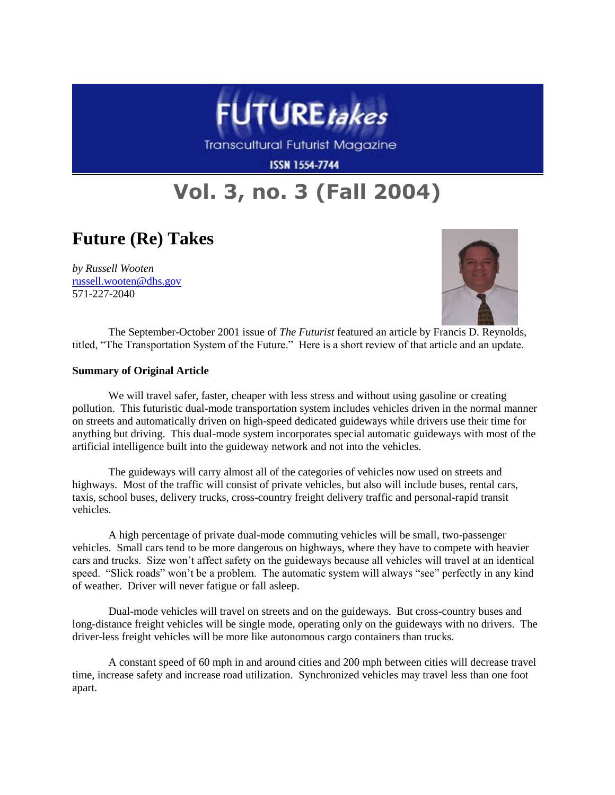

Transcultural Futurist Magazine

**ISSN 1554-7744** 

## **Vol. 3, no. 3 (Fall 2004)**

## **Future (Re) Takes**

*by Russell Wooten* [russell.wooten@dhs.gov](mailto:russell.wooten@dhs.gov) 571-227-2040



The September-October 2001 issue of *The Futurist* featured an article by Francis D. Reynolds, titled, "The Transportation System of the Future." Here is a short review of that article and an update.

## **Summary of Original Article**

We will travel safer, faster, cheaper with less stress and without using gasoline or creating pollution. This futuristic dual-mode transportation system includes vehicles driven in the normal manner on streets and automatically driven on high-speed dedicated guideways while drivers use their time for anything but driving. This dual-mode system incorporates special automatic guideways with most of the artificial intelligence built into the guideway network and not into the vehicles.

The guideways will carry almost all of the categories of vehicles now used on streets and highways. Most of the traffic will consist of private vehicles, but also will include buses, rental cars, taxis, school buses, delivery trucks, cross-country freight delivery traffic and personal-rapid transit vehicles.

A high percentage of private dual-mode commuting vehicles will be small, two-passenger vehicles. Small cars tend to be more dangerous on highways, where they have to compete with heavier cars and trucks. Size won't affect safety on the guideways because all vehicles will travel at an identical speed. "Slick roads" won't be a problem. The automatic system will always "see" perfectly in any kind of weather. Driver will never fatigue or fall asleep.

Dual-mode vehicles will travel on streets and on the guideways. But cross-country buses and long-distance freight vehicles will be single mode, operating only on the guideways with no drivers. The driver-less freight vehicles will be more like autonomous cargo containers than trucks.

A constant speed of 60 mph in and around cities and 200 mph between cities will decrease travel time, increase safety and increase road utilization. Synchronized vehicles may travel less than one foot apart.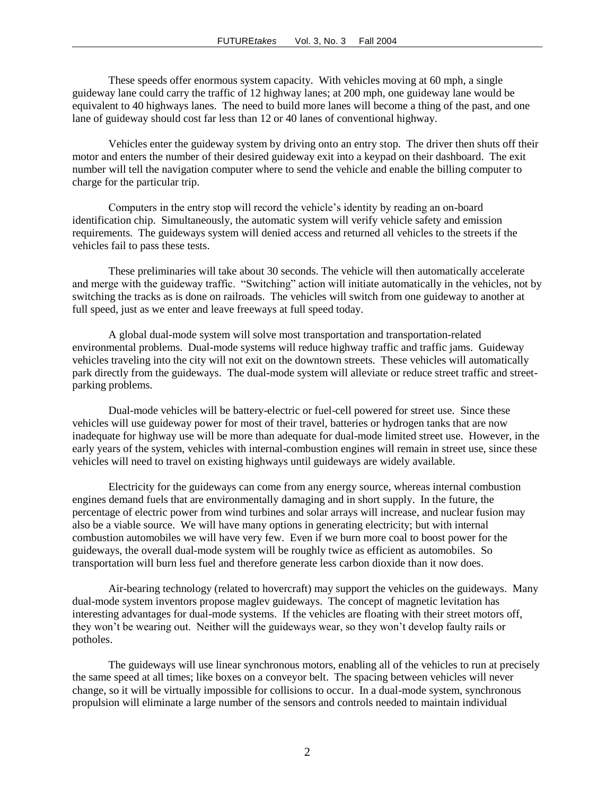These speeds offer enormous system capacity. With vehicles moving at 60 mph, a single guideway lane could carry the traffic of 12 highway lanes; at 200 mph, one guideway lane would be equivalent to 40 highways lanes. The need to build more lanes will become a thing of the past, and one lane of guideway should cost far less than 12 or 40 lanes of conventional highway.

Vehicles enter the guideway system by driving onto an entry stop. The driver then shuts off their motor and enters the number of their desired guideway exit into a keypad on their dashboard. The exit number will tell the navigation computer where to send the vehicle and enable the billing computer to charge for the particular trip.

Computers in the entry stop will record the vehicle's identity by reading an on-board identification chip. Simultaneously, the automatic system will verify vehicle safety and emission requirements. The guideways system will denied access and returned all vehicles to the streets if the vehicles fail to pass these tests.

These preliminaries will take about 30 seconds. The vehicle will then automatically accelerate and merge with the guideway traffic. "Switching" action will initiate automatically in the vehicles, not by switching the tracks as is done on railroads. The vehicles will switch from one guideway to another at full speed, just as we enter and leave freeways at full speed today.

A global dual-mode system will solve most transportation and transportation-related environmental problems. Dual-mode systems will reduce highway traffic and traffic jams. Guideway vehicles traveling into the city will not exit on the downtown streets. These vehicles will automatically park directly from the guideways. The dual-mode system will alleviate or reduce street traffic and streetparking problems.

Dual-mode vehicles will be battery-electric or fuel-cell powered for street use. Since these vehicles will use guideway power for most of their travel, batteries or hydrogen tanks that are now inadequate for highway use will be more than adequate for dual-mode limited street use. However, in the early years of the system, vehicles with internal-combustion engines will remain in street use, since these vehicles will need to travel on existing highways until guideways are widely available.

Electricity for the guideways can come from any energy source, whereas internal combustion engines demand fuels that are environmentally damaging and in short supply. In the future, the percentage of electric power from wind turbines and solar arrays will increase, and nuclear fusion may also be a viable source. We will have many options in generating electricity; but with internal combustion automobiles we will have very few. Even if we burn more coal to boost power for the guideways, the overall dual-mode system will be roughly twice as efficient as automobiles. So transportation will burn less fuel and therefore generate less carbon dioxide than it now does.

Air-bearing technology (related to hovercraft) may support the vehicles on the guideways. Many dual-mode system inventors propose maglev guideways. The concept of magnetic levitation has interesting advantages for dual-mode systems. If the vehicles are floating with their street motors off, they won't be wearing out. Neither will the guideways wear, so they won't develop faulty rails or potholes.

The guideways will use linear synchronous motors, enabling all of the vehicles to run at precisely the same speed at all times; like boxes on a conveyor belt. The spacing between vehicles will never change, so it will be virtually impossible for collisions to occur. In a dual-mode system, synchronous propulsion will eliminate a large number of the sensors and controls needed to maintain individual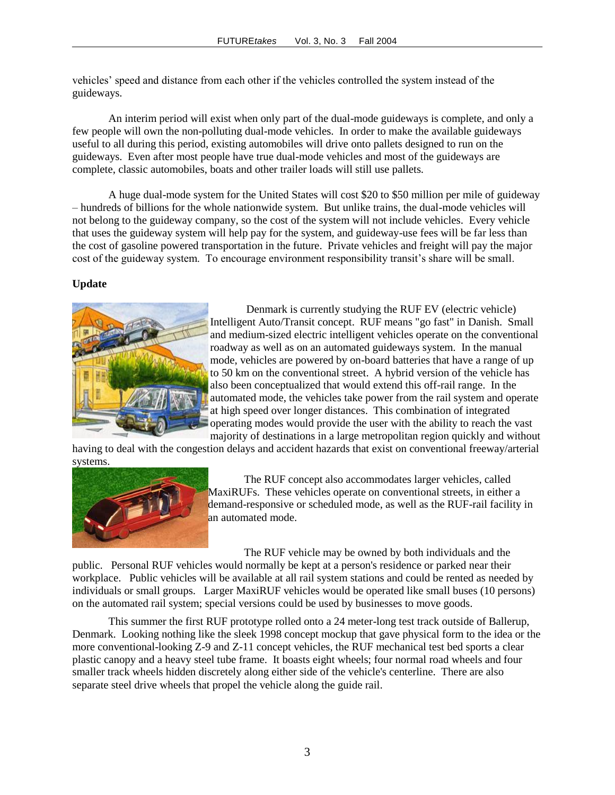vehicles' speed and distance from each other if the vehicles controlled the system instead of the guideways.

An interim period will exist when only part of the dual-mode guideways is complete, and only a few people will own the non-polluting dual-mode vehicles. In order to make the available guideways useful to all during this period, existing automobiles will drive onto pallets designed to run on the guideways. Even after most people have true dual-mode vehicles and most of the guideways are complete, classic automobiles, boats and other trailer loads will still use pallets.

A huge dual-mode system for the United States will cost \$20 to \$50 million per mile of guideway – hundreds of billions for the whole nationwide system. But unlike trains, the dual-mode vehicles will not belong to the guideway company, so the cost of the system will not include vehicles. Every vehicle that uses the guideway system will help pay for the system, and guideway-use fees will be far less than the cost of gasoline powered transportation in the future. Private vehicles and freight will pay the major cost of the guideway system. To encourage environment responsibility transit's share will be small.

## **Update**



Denmark is currently studying the RUF EV (electric vehicle) Intelligent Auto/Transit concept. RUF means "go fast" in Danish. Small and medium-sized electric intelligent vehicles operate on the conventional roadway as well as on an automated guideways system. In the manual mode, vehicles are powered by on-board batteries that have a range of up to 50 km on the conventional street. A hybrid version of the vehicle has also been conceptualized that would extend this off-rail range. In the automated mode, the vehicles take power from the rail system and operate at high speed over longer distances. This combination of integrated operating modes would provide the user with the ability to reach the vast majority of destinations in a large metropolitan region quickly and without

having to deal with the congestion delays and accident hazards that exist on conventional freeway/arterial systems.



The RUF concept also accommodates larger vehicles, called MaxiRUFs. These vehicles operate on conventional streets, in either a demand-responsive or scheduled mode, as well as the RUF-rail facility in an automated mode.

The RUF vehicle may be owned by both individuals and the public. Personal RUF vehicles would normally be kept at a person's residence or parked near their workplace. Public vehicles will be available at all rail system stations and could be rented as needed by individuals or small groups. Larger MaxiRUF vehicles would be operated like small buses (10 persons) on the automated rail system; special versions could be used by businesses to move goods.

This summer the first RUF prototype rolled onto a 24 meter-long test track outside of Ballerup, Denmark. Looking nothing like the sleek 1998 concept mockup that gave physical form to the idea or the more conventional-looking Z-9 and Z-11 concept vehicles, the RUF mechanical test bed sports a clear plastic canopy and a heavy steel tube frame. It boasts eight wheels; four normal road wheels and four smaller track wheels hidden discretely along either side of the vehicle's centerline. There are also separate steel drive wheels that propel the vehicle along the guide rail.